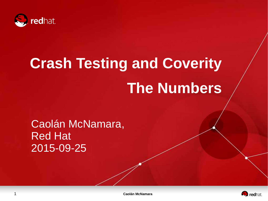

# **Crash Testing and Coverity The Numbers**

## Caolán McNamara, Red Hat 2015-09-25



1 **Caolán McNamara**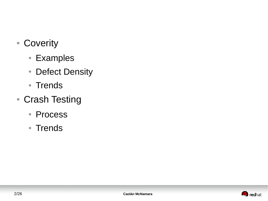- Coverity
	- Examples
	- Defect Density
	- Trends
- Crash Testing
	- Process
	- Trends

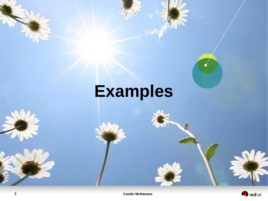# **Examples**

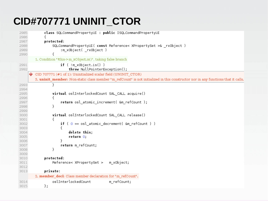# **CID#707771 UNINIT\_CTOR**

| 2985      | class SQLCommandPropertyUI : public ISQLCommandPropertyUI                                                                         |  |  |  |  |  |
|-----------|-----------------------------------------------------------------------------------------------------------------------------------|--|--|--|--|--|
| 2986      |                                                                                                                                   |  |  |  |  |  |
| 2987      | protected:                                                                                                                        |  |  |  |  |  |
| 2988      | SQLCommandPropertyUI ( const Reference< XPropertySet >& rxObject )                                                                |  |  |  |  |  |
| 2989      | :m xObject( rxObject )                                                                                                            |  |  |  |  |  |
| 2990      |                                                                                                                                   |  |  |  |  |  |
|           | 1. Condition "Ithis->m_xObject.is()", taking false branch                                                                         |  |  |  |  |  |
| 2991      | $if$ ( $lm_xObject.is()$ )                                                                                                        |  |  |  |  |  |
| 2992      | throw NullPointerException();                                                                                                     |  |  |  |  |  |
| $\bullet$ | CID 707771 (#1 of 1): Uninitialized scalar field (UNINIT_CTOR)                                                                    |  |  |  |  |  |
|           | 3. uninit member: Non-static class member "m refCount" is not initialized in this constructor nor in any functions that it calls. |  |  |  |  |  |
| 2993      | }                                                                                                                                 |  |  |  |  |  |
| 2994      |                                                                                                                                   |  |  |  |  |  |
| 2995      | virtual oslInterlockedCount SAL_CALL acquire()                                                                                    |  |  |  |  |  |
| 2996      | €                                                                                                                                 |  |  |  |  |  |
| 2997      | return osl atomic increment( &m refCount );                                                                                       |  |  |  |  |  |
| 2998      | ł                                                                                                                                 |  |  |  |  |  |
| 2999      |                                                                                                                                   |  |  |  |  |  |
| 3000      | virtual oslInterlockedCount SAL_CALL release()                                                                                    |  |  |  |  |  |
| 3001      | ₹                                                                                                                                 |  |  |  |  |  |
| 3002      | if ( $\odot == \odot$ atomic_decrement( $\delta$ m_refCount))                                                                     |  |  |  |  |  |
| 3003      | €                                                                                                                                 |  |  |  |  |  |
| 3004      | delete this;                                                                                                                      |  |  |  |  |  |
| 3005      | return 0;                                                                                                                         |  |  |  |  |  |
| 3006      | ł                                                                                                                                 |  |  |  |  |  |
| 3007      | return m_refCount;                                                                                                                |  |  |  |  |  |
| 3008      | }                                                                                                                                 |  |  |  |  |  |
| 3009      |                                                                                                                                   |  |  |  |  |  |
| 3010      | protected:                                                                                                                        |  |  |  |  |  |
| 3011      | Reference< XPropertySet ><br>m xObject;                                                                                           |  |  |  |  |  |
| 3012      |                                                                                                                                   |  |  |  |  |  |
| 3013      | private:                                                                                                                          |  |  |  |  |  |
|           | 2. member decl: Class member declaration for "m refCount".                                                                        |  |  |  |  |  |
| 3014      | oslInterlockedCount<br>m refCount;                                                                                                |  |  |  |  |  |
| 3015      | };                                                                                                                                |  |  |  |  |  |
|           |                                                                                                                                   |  |  |  |  |  |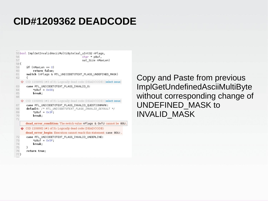## **CID#1209362 DEADCODE**

```
55 bool ImplGetInvalidAsciiMultiByte(sal uInt32 nFlags,
56
                                            char * nRuf.57
                                            sal Size nMaxLen)
58{
59
      if (nMaxLen == \odot)
60
           return false:
       switch (nFlags & RTL UNICODETOTEXT FLAGS UNDEFINED MASK)
61
62
      \sqrt{ }CID 1209362 (#3 of 3): Logically dead code (DEADCODE) [select issue]
63
       case RTL UNICODETOTEXT FLAGS INVALID 0:
           *pBuf = 0x00:
64
65
           break:
66
   CID 1209362 (#2 of 3): Logically dead code (DEADCODE) [select issue]
       case RTL UNICODETOTEXT FLAGS INVALID QUESTIONMARK:
67
68
       default: /* RTL UNICODETOTEXT FLAGS INVALID DEFAULT */
69
           *pBuf = 0x3F:
70
           break:
71dead error condition: The switch value nFlags & OxfU cannot be 80U.
   \bullet CID 1209362 (#1 of 3): Logically dead code (DEADCODE)
      dead error begin: Execution cannot reach this statement case 80U: .
      case RTL UNICODETOTEXT FLAGS INVALID UNDERLINE:
72
73
           *Buf = 0x5F:
74
           break:
75
      \mathcal{F}76
       return true;
77}
```
Copy and Paste from previous ImplGetUndefinedAsciiMultiByte without corresponding change of UNDEFINED\_MASK to INVALID\_MASK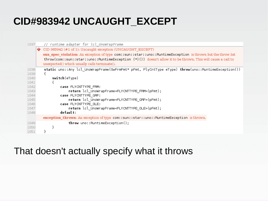# **CID#983942 UNCAUGHT\_EXCEPT**

| 1037                                                                                                                                                                                                                                                                                                                                                                                                                                                             | runtime adapter for lcl_UnoWrapFrame                                                   |  |  |  |  |  |               |
|------------------------------------------------------------------------------------------------------------------------------------------------------------------------------------------------------------------------------------------------------------------------------------------------------------------------------------------------------------------------------------------------------------------------------------------------------------------|----------------------------------------------------------------------------------------|--|--|--|--|--|---------------|
| $\bullet$ CID 983942 (#1 of 1): Uncaught exception (UNCAUGHT EXCEPT)<br>exn spec violation: An exception of type com::sun::star::uno::RuntimeException is thrown but the throw list<br>throw(com::sun::star::uno::RuntimeException (*)()) doesn't allow it to be thrown. This will cause a call to<br>unexpected() which usually calls terminate().<br>static uno::Any lcl UnoWrapFrame(SwFrmFmt* pFmt, FlyCntType eType) throw(uno::RuntimeException())<br>1038 |                                                                                        |  |  |  |  |  |               |
|                                                                                                                                                                                                                                                                                                                                                                                                                                                                  |                                                                                        |  |  |  |  |  | €             |
|                                                                                                                                                                                                                                                                                                                                                                                                                                                                  |                                                                                        |  |  |  |  |  | switch(eType) |
|                                                                                                                                                                                                                                                                                                                                                                                                                                                                  |                                                                                        |  |  |  |  |  |               |
|                                                                                                                                                                                                                                                                                                                                                                                                                                                                  |                                                                                        |  |  |  |  |  |               |
| 1042                                                                                                                                                                                                                                                                                                                                                                                                                                                             | case FLYCNTTYPE FRM:                                                                   |  |  |  |  |  |               |
| 1043                                                                                                                                                                                                                                                                                                                                                                                                                                                             | return lcl UnoWrapFrame <flycnttype frm="">(pFmt);</flycnttype>                        |  |  |  |  |  |               |
| 1044                                                                                                                                                                                                                                                                                                                                                                                                                                                             | case FLYCNTTYPE GRF:                                                                   |  |  |  |  |  |               |
|                                                                                                                                                                                                                                                                                                                                                                                                                                                                  | return lcl UnoWrapFrame <flycnttype grf="">(pFmt);</flycnttype>                        |  |  |  |  |  |               |
|                                                                                                                                                                                                                                                                                                                                                                                                                                                                  | case FLYCNTTYPE OLE:                                                                   |  |  |  |  |  |               |
|                                                                                                                                                                                                                                                                                                                                                                                                                                                                  | return lcl UnoWrapFrame <flycnttype ole="">(pFmt);</flycnttype>                        |  |  |  |  |  |               |
|                                                                                                                                                                                                                                                                                                                                                                                                                                                                  | default:                                                                               |  |  |  |  |  |               |
|                                                                                                                                                                                                                                                                                                                                                                                                                                                                  |                                                                                        |  |  |  |  |  |               |
|                                                                                                                                                                                                                                                                                                                                                                                                                                                                  | exception thrown: An exception of type com::sun::star::uno::RuntimeException isthrown. |  |  |  |  |  |               |
| 1049                                                                                                                                                                                                                                                                                                                                                                                                                                                             | $throw$ uno::RuntimeException();                                                       |  |  |  |  |  |               |
| 1050                                                                                                                                                                                                                                                                                                                                                                                                                                                             |                                                                                        |  |  |  |  |  |               |
|                                                                                                                                                                                                                                                                                                                                                                                                                                                                  |                                                                                        |  |  |  |  |  |               |
|                                                                                                                                                                                                                                                                                                                                                                                                                                                                  | 1039<br>1040<br>1041<br>1045<br>1046<br>1047<br>1048<br>1051                           |  |  |  |  |  |               |

### That doesn't actually specify what it throws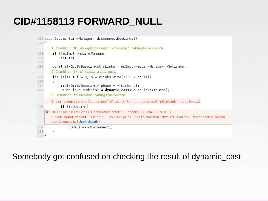# **CID#1158113 FORWARD\_NULL**

```
226 void DocumentLinkManager::disconnectDdeLinks()
227f1. Condition "Ithis->mpImpl->mpLinkManager", taking false branch
       if (!mpImpl->mpLinkManager)
228
229
             return;
230
        const sfx2::SvBaseLinks& rLinks = mpImpl->mpLinkManager->GetLinks();
231
       2. Condition "i < n", taking true branch
       for (size t i = 0, n = rLinks.size(); i < n; ++i)
232
233
        \left\{ \right.::sfx2::SvBaseLink* pBase = *rLinks[i];
234
            SCDdelink* pDdelink = dynamic cast < SCDdelink*>(pBase);235
       3. Condition "!pDdeLink", taking true branch
       4. var compare op: Comparing "pDdeLink" to null implies that "pDdeLink" might be null.
            if (!pDdeLink)
236
    CID 1158113 (#1 of 1): Dereference after null check (FORWARD NULL)
       5. var deref model: Passing null pointer "pDdeLink" to function "sfx2::SvBaseLink::Disconnect()", which
       dereferences it. [show details]
                 pDdeLink->Disconnect();
237
238
        \mathcal{F}239 }
```
Somebody got confused on checking the result of dynamic\_cast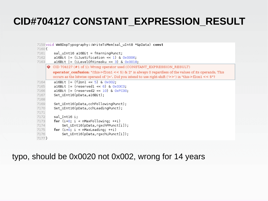# **CID#704127 CONSTANT\_EXPRESSION\_RESULT**

| 7159 void WW8DopTypography::WriteToMem(sal uInt8 *&pData) const<br>7160{ |                                                                                                                                                                                                                   |  |  |  |  |  |
|--------------------------------------------------------------------------|-------------------------------------------------------------------------------------------------------------------------------------------------------------------------------------------------------------------|--|--|--|--|--|
| 7161<br>7162<br>7163                                                     | sal uInt16 a16Bit = $f$ KerningPunct;<br>al6Bit $  =$ (iJustification << 1) & 0x0006;<br>$a16Bit$  = (iLevelOfKinsoku << 3) & 0x0018;                                                                             |  |  |  |  |  |
| $\bullet$                                                                | CID 704127 (#1 of 1): Wrong operator used (CONSTANT EXPRESSION RESULT)                                                                                                                                            |  |  |  |  |  |
|                                                                          | operator confusion: "(this->f2on1 << 5) & 2" is always 0 regardless of the values of its operands. This<br>occurs as the bitwise operand of ' ='. Did you intend to use right-shift ('>>') in "this->f2on1 << 5"? |  |  |  |  |  |
| 7164                                                                     | al6Bit $=$ (f2on1 << 5) & 0x002,                                                                                                                                                                                  |  |  |  |  |  |
| 7165                                                                     | al6Bit $=$ (reservedl << 6) & 0x03C0;                                                                                                                                                                             |  |  |  |  |  |
| 7166                                                                     | al6Bit $=$ (reserved2 << 10) & 0xFC00;                                                                                                                                                                            |  |  |  |  |  |
| 7167<br>7168                                                             | Set UInt16(pData,a16Bit);                                                                                                                                                                                         |  |  |  |  |  |
| 7169                                                                     | Set UInt16(pData, cchFollowingPunct);                                                                                                                                                                             |  |  |  |  |  |
| 7170                                                                     | Set UInt16(pData, cchLeadingPunct);                                                                                                                                                                               |  |  |  |  |  |
| 7171                                                                     |                                                                                                                                                                                                                   |  |  |  |  |  |
| 7172                                                                     | sal Intl6 i;                                                                                                                                                                                                      |  |  |  |  |  |
| 7173                                                                     | for $(i=0; i < n$ MaxFollowing; $+i)$                                                                                                                                                                             |  |  |  |  |  |
| 7174                                                                     | Set_UInt16(pData,rgxchFPunct[i]);                                                                                                                                                                                 |  |  |  |  |  |
| 7175                                                                     | for $(i=0; i < n$ MaxLeading; $++i$ )                                                                                                                                                                             |  |  |  |  |  |
| 7176<br>7177}                                                            | Set UInt16(pData, rgxchLPunct[i]);                                                                                                                                                                                |  |  |  |  |  |
|                                                                          |                                                                                                                                                                                                                   |  |  |  |  |  |

### typo, should be 0x0020 not 0x002, wrong for 14 years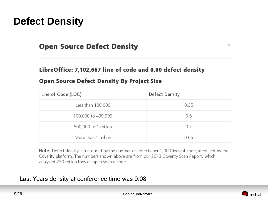### **Defect Density**

#### **Open Source Defect Density**

#### LibreOffice: 7,102,667 line of code and 0.00 defect density

#### **Open Source Defect Density By Project Size**

| Line of Code (LOC)   | Defect Density |  |
|----------------------|----------------|--|
| Less than 100,000    | 0.35           |  |
| 100,000 to 499,999   | 0.5            |  |
| 500,000 to 1 million | 0.7            |  |
| More than 1 million  | 0.65           |  |

Note: Defect density is measured by the number of defects per 1,000 lines of code, identified by the Coverity platform. The numbers shown above are from our 2013 Coverity Scan Report, which analyzed 250 million lines of open source code.

#### Last Years density at conference time was 0.08



 $\times$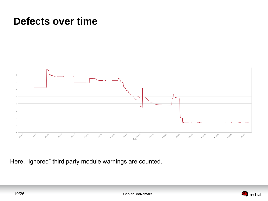### **Defects over time**



Here, "ignored" third party module warnings are counted.

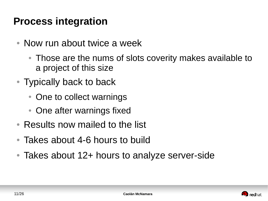## **Process integration**

- $\bullet$  Now run about twice a week
	- Those are the nums of slots coverity makes available to a project of this size
- Typically back to back
	- One to collect warnings
	- One after warnings fixed
- Results now mailed to the list
- Takes about 4-6 hours to build
- Takes about 12+ hours to analyze server-side

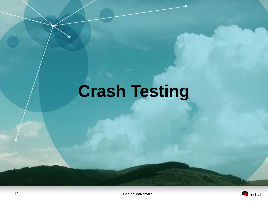# **Crash Testing**

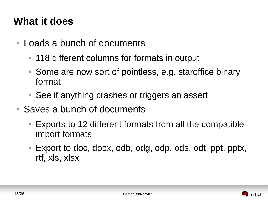## **What it does**

- Loads a bunch of documents
	- 118 different columns for formats in output
	- Some are now sort of pointless, e.g. staroffice binary format
	- See if anything crashes or triggers an assert
- $\bullet$  Saves a bunch of documents
	- Exports to 12 different formats from all the compatible import formats
	- Export to doc, docx, odb, odg, odp, ods, odt, ppt, pptx, rtf, xls, xlsx

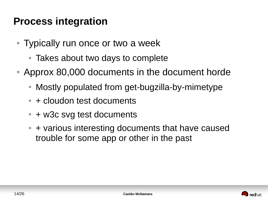## **Process integration**

- Typically run once or two a week
	- Takes about two days to complete
- Approx 80,000 documents in the document horde
	- Mostly populated from get-bugzilla-by-mimetype
	- $\bullet$  + cloudon test documents
	- $\bullet$  + w3c svg test documents
	- $\bullet$  + various interesting documents that have caused trouble for some app or other in the past

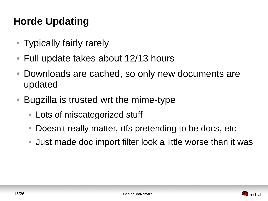# **Horde Updating**

- Typically fairly rarely
- Full update takes about 12/13 hours
- Downloads are cached, so only new documents are updated
- Bugzilla is trusted wrt the mime-type
	- Lots of miscategorized stuff
	- Doesn't really matter, rtfs pretending to be docs, etc
	- Just made doc import filter look a little worse than it was

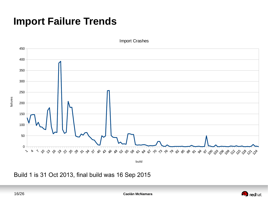### **Import Failure Trends**



Import Crashes

Build 1 is 31 Oct 2013, final build was 16 Sep 2015

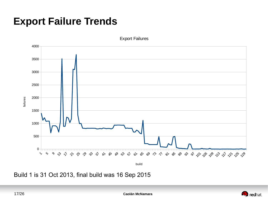### **Export Failure Trends**



Export Failures

Build 1 is 31 Oct 2013, final build was 16 Sep 2015

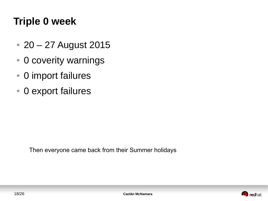## **Triple 0 week**

- 20 27 August 2015
- 0 coverity warnings
- 0 import failures
- 0 export failures

Then everyone came back from their Summer holidays

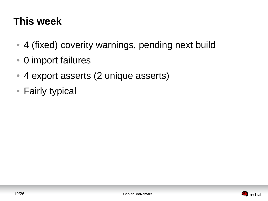### **This week**

- 4 (fixed) coverity warnings, pending next build
- 0 import failures
- 4 export asserts (2 unique asserts)
- Fairly typical

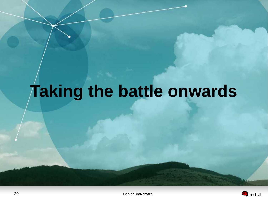# **Taking the battle onwards**



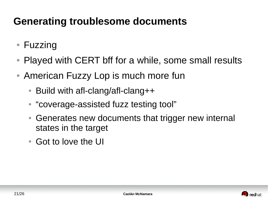# **Generating troublesome documents**

- Fuzzing
- Played with CERT bff for a while, some small results
- American Fuzzy Lop is much more fun
	- Build with afl-clang/afl-clang++
	- "coverage-assisted fuzz testing tool"
	- Generates new documents that trigger new internal states in the target
	- Got to love the UI

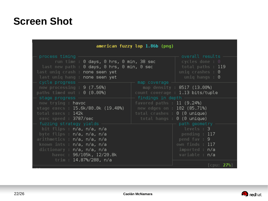### **Screen Shot**

|                                                                                                                                                                                                                   | american fuzzy lop 1.86b (png)                                                                                                                                       |                                                                                                        |
|-------------------------------------------------------------------------------------------------------------------------------------------------------------------------------------------------------------------|----------------------------------------------------------------------------------------------------------------------------------------------------------------------|--------------------------------------------------------------------------------------------------------|
| process timing<br>run time : 0 days, 0 hrs, 0 min, 38 sec<br>last new path : 0 days, 0 hrs, 0 min, 0 sec<br>last uniq crash : none seen yet<br>last uniq hang : <b>none seen yet</b><br>cycle progress            | overall results<br>cycles done: $0$<br>total paths : 119<br>uniq crashes : $\theta$<br>uniq hangs : $\theta$                                                         |                                                                                                        |
| now processing : <b>9 (7.56%)</b><br>paths timed out : $0$ (0.00%)<br>stage progress -                                                                                                                            | map coverage                                                                                                                                                         | map density : 8517 (13.00%)<br>count coverage : 1.13 bits/tuple                                        |
| now trying : havoc<br>stage execs : 15.6k/80.0k (19.48%)<br>total execs : 142k<br>exec speed : 3787/sec                                                                                                           | findings in depth<br>favored paths : 11 (9.24%)<br>new edges on : 102 (85.71%)<br>total crashes : 0 (0 unique)<br>total hangs : $\theta$ (0 unique)<br>path geometry |                                                                                                        |
| fuzzing strategy yields<br>bit flips : n/a, n/a, n/a<br>byte flips : n/a, n/a, n/a<br>arithmetics : <b>n/a, n/a, n/a</b><br>known ints : n/a, n/a, n/a<br>dictionary : n/a, n/a, n/a<br>havoc : 96/105k, 12/20.8k |                                                                                                                                                                      | levels : 3<br>pending $: 117$<br>pend fav : 9<br>own finds $: 117$<br>imported : n/a<br>variable : n/a |
| trim : 14.87%/288, n/a                                                                                                                                                                                            |                                                                                                                                                                      | [cpu: 27%]                                                                                             |

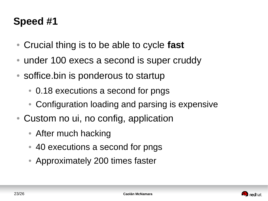# **Speed #1**

- Crucial thing is to be able to cycle **fast**
- under 100 execs a second is super cruddy
- soffice.bin is ponderous to startup
	- 0.18 executions a second for pngs
	- Configuration loading and parsing is expensive
- Custom no ui, no config, application
	- After much hacking
	- 40 executions a second for pngs
	- Approximately 200 times faster

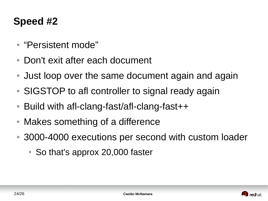# **Speed #2**

- "Persistent mode"
- Don't exit after each document
- Just loop over the same document again and again
- SIGSTOP to afl controller to signal ready again
- Build with afl-clang-fast/afl-clang-fast++
- Makes something of a difference
- 3000-4000 executions per second with custom loader
	- So that's approx 20,000 faster

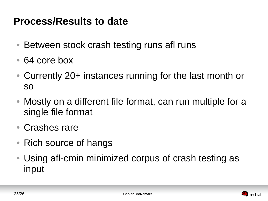### **Process/Results to date**

- Between stock crash testing runs afl runs
- 64 core box
- Currently 20+ instances running for the last month or so
- Mostly on a different file format, can run multiple for a single file format
- Crashes rare
- Rich source of hangs
- Using afl-cmin minimized corpus of crash testing as input